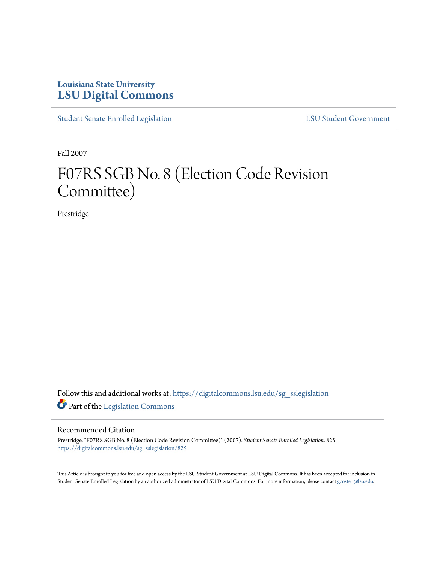## **Louisiana State University [LSU Digital Commons](https://digitalcommons.lsu.edu?utm_source=digitalcommons.lsu.edu%2Fsg_sslegislation%2F825&utm_medium=PDF&utm_campaign=PDFCoverPages)**

[Student Senate Enrolled Legislation](https://digitalcommons.lsu.edu/sg_sslegislation?utm_source=digitalcommons.lsu.edu%2Fsg_sslegislation%2F825&utm_medium=PDF&utm_campaign=PDFCoverPages) [LSU Student Government](https://digitalcommons.lsu.edu/sg?utm_source=digitalcommons.lsu.edu%2Fsg_sslegislation%2F825&utm_medium=PDF&utm_campaign=PDFCoverPages)

Fall 2007

# F07RS SGB No. 8 (Election Code Revision Committee)

Prestridge

Follow this and additional works at: [https://digitalcommons.lsu.edu/sg\\_sslegislation](https://digitalcommons.lsu.edu/sg_sslegislation?utm_source=digitalcommons.lsu.edu%2Fsg_sslegislation%2F825&utm_medium=PDF&utm_campaign=PDFCoverPages) Part of the [Legislation Commons](http://network.bepress.com/hgg/discipline/859?utm_source=digitalcommons.lsu.edu%2Fsg_sslegislation%2F825&utm_medium=PDF&utm_campaign=PDFCoverPages)

#### Recommended Citation

Prestridge, "F07RS SGB No. 8 (Election Code Revision Committee)" (2007). *Student Senate Enrolled Legislation*. 825. [https://digitalcommons.lsu.edu/sg\\_sslegislation/825](https://digitalcommons.lsu.edu/sg_sslegislation/825?utm_source=digitalcommons.lsu.edu%2Fsg_sslegislation%2F825&utm_medium=PDF&utm_campaign=PDFCoverPages)

This Article is brought to you for free and open access by the LSU Student Government at LSU Digital Commons. It has been accepted for inclusion in Student Senate Enrolled Legislation by an authorized administrator of LSU Digital Commons. For more information, please contact [gcoste1@lsu.edu.](mailto:gcoste1@lsu.edu)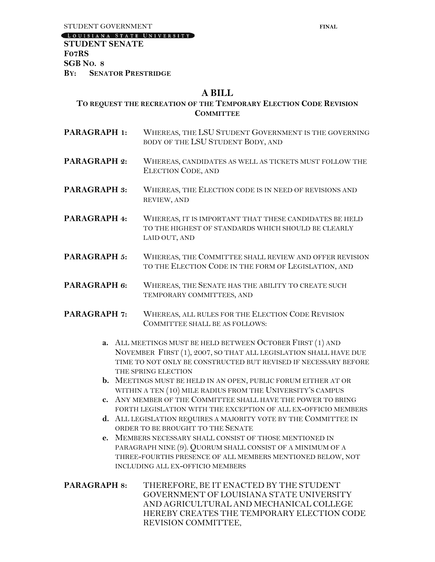LOUISIANA STATE UNIVERSITY

**STUDENT SENATE F07RS SGB NO. 8 BY: SENATOR PRESTRIDGE**

### **A BILL**

### **TO REQUEST THE RECREATION OF THE TEMPORARY ELECTION CODE REVISION COMMITTEE**

- PARAGRAPH 1: WHEREAS, THE LSU STUDENT GOVERNMENT IS THE GOVERNING BODY OF THE LSU STUDENT BODY, AND
- **PARAGRAPH 2:** WHEREAS, CANDIDATES AS WELL AS TICKETS MUST FOLLOW THE ELECTION CODE, AND
- **PARAGRAPH 3:** WHEREAS, THE ELECTION CODE IS IN NEED OF REVISIONS AND REVIEW, AND
- **PARAGRAPH 4:** WHEREAS, IT IS IMPORTANT THAT THESE CANDIDATES BE HELD TO THE HIGHEST OF STANDARDS WHICH SHOULD BE CLEARLY LAID OUT, AND
- **PARAGRAPH 5:** WHEREAS, THE COMMITTEE SHALL REVIEW AND OFFER REVISION TO THE ELECTION CODE IN THE FORM OF LEGISLATION, AND
- PARAGRAPH 6: WHEREAS, THE SENATE HAS THE ABILITY TO CREATE SUCH TEMPORARY COMMITTEES, AND
- **PARAGRAPH 7:** WHEREAS, ALL RULES FOR THE ELECTION CODE REVISION COMMITTEE SHALL BE AS FOLLOWS:
	- **a.** ALL MEETINGS MUST BE HELD BETWEEN OCTOBER FIRST (1) AND NOVEMBER FIRST (1), 2007, SO THAT ALL LEGISLATION SHALL HAVE DUE TIME TO NOT ONLY BE CONSTRUCTED BUT REVISED IF NECESSARY BEFORE THE SPRING ELECTION
	- **b.** MEETINGS MUST BE HELD IN AN OPEN, PUBLIC FORUM EITHER AT OR WITHIN A TEN (10) MILE RADIUS FROM THE UNIVERSITY'S CAMPUS
	- **c.** ANY MEMBER OF THE COMMITTEE SHALL HAVE THE POWER TO BRING FORTH LEGISLATION WITH THE EXCEPTION OF ALL EX-OFFICIO MEMBERS
	- **d.** ALL LEGISLATION REQUIRES A MAJORITY VOTE BY THE COMMITTEE IN ORDER TO BE BROUGHT TO THE SENATE
	- **e.** MEMBERS NECESSARY SHALL CONSIST OF THOSE MENTIONED IN PARAGRAPH NINE (9). QUORUM SHALL CONSIST OF A MINIMUM OF A THREE-FOURTHS PRESENCE OF ALL MEMBERS MENTIONED BELOW, NOT INCLUDING ALL EX-OFFICIO MEMBERS
- **PARAGRAPH 8:** THEREFORE, BE IT ENACTED BY THE STUDENT GOVERNMENT OF LOUISIANA STATE UNIVERSITY AND AGRICULTURAL AND MECHANICAL COLLEGE HEREBY CREATES THE TEMPORARY ELECTION CODE REVISION COMMITTEE,